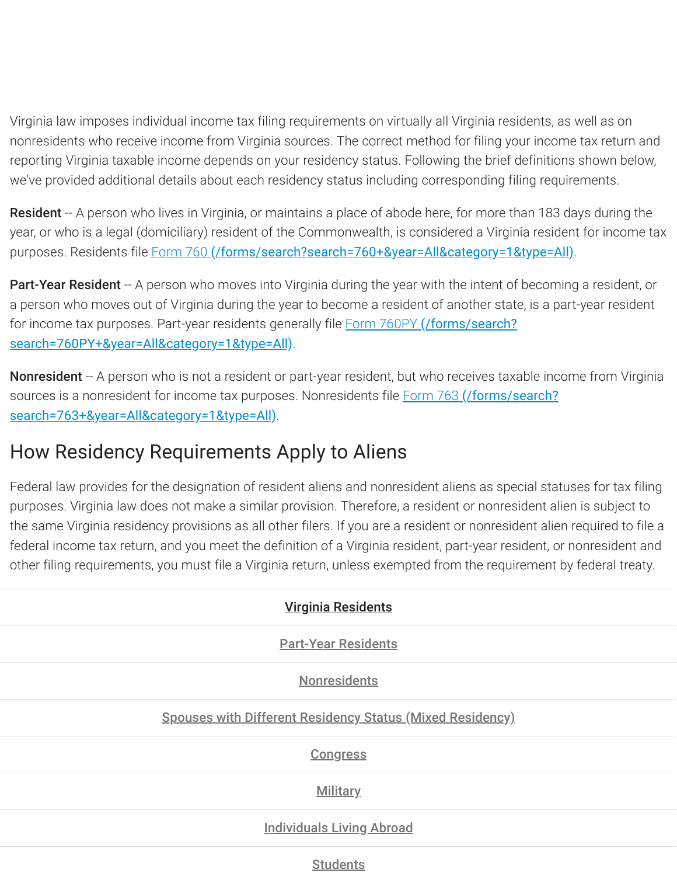Virginia law imposes individual income tax filing requirements on virtually all Virginia residents, as well as on nonresidents who receive income from Virginia sources. The correct method for filing your income tax return and reporting Virginia taxable income depends on your residency status. Following the brief definitions shown below, we've provided additional details about each residency status including corresponding filing requirements.

**Resident** -- A person who lives in Virginia, or maintains a place of abode here, for more than 183 days during the year, or who is a legal (domiciliary) resident of the Commonwealth, is considered a Virginia resident for income tax purposes. Residents file Form 760 [\(/forms/search?search=760+&year=All&category=1&type=All\)](https://www.tax.virginia.gov/forms/search?search=760+&year=All&category=1&type=All).

**Part-Year Resident** -- A person who moves into Virginia during the year with the intent of becoming a resident, or a person who moves out of Virginia during the year to become a resident of another state, is a part-year resident for income tax purposes. Part-year residents generally file **Form 760PY (/forms/search?** [search=760PY+&year=All&category=1&type=All\)](https://www.tax.virginia.gov/forms/search?search=760PY+&year=All&category=1&type=All).

Nonresident -- A person who is not a resident or part-year resident, but who receives taxable income from Virginia sources is a nonresident for income tax purposes. Nonresidents file Form 763 (/forms/search? [search=763+&year=All&category=1&type=All\)](https://www.tax.virginia.gov/forms/search?search=763+&year=All&category=1&type=All).

## How Residency Requirements Apply to Aliens

Federal law provides for the designation of resident aliens and nonresident aliens as special statuses for tax filing purposes. Virginia law does not make a similar provision. Therefore, a resident or nonresident alien is subject to the same Virginia residency provisions as all other filers. If you are a resident or nonresident alien required to file a federal income tax return, and you meet the definition of a Virginia resident, part-year resident, or nonresident and other filing requirements, you must file a Virginia return, unless exempted from the requirement by federal treaty.

| <b>Virginia Residents</b>                                        |
|------------------------------------------------------------------|
| <b>Part-Year Residents</b>                                       |
| <b>Nonresidents</b>                                              |
| <b>Spouses with Different Residency Status (Mixed Residency)</b> |
| <b>Congress</b>                                                  |
| <b>Military</b>                                                  |
| <b>Individuals Living Abroad</b>                                 |
|                                                                  |

**Students**